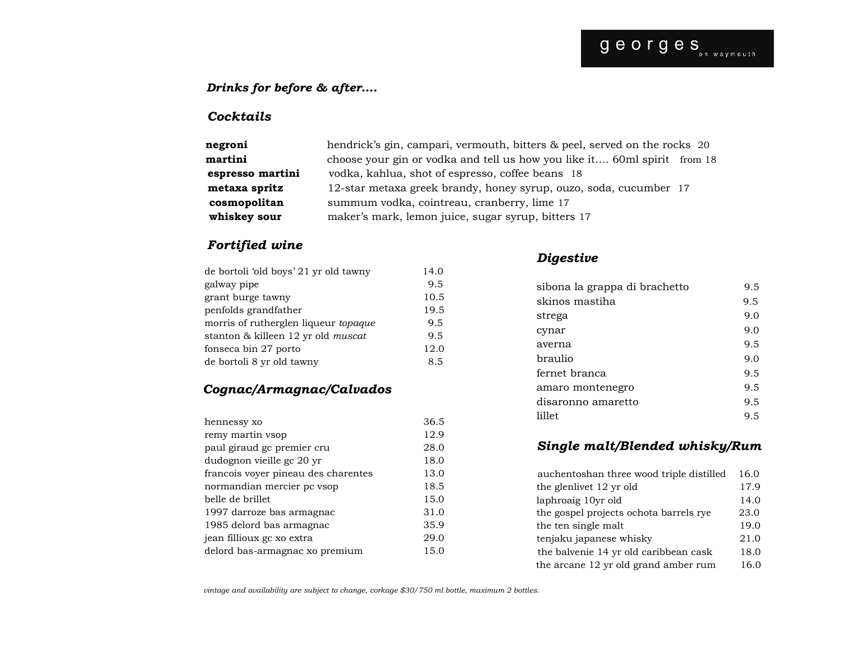#### *Drinks for before & after….*

#### *Cocktails*

| negroni          | hendrick's gin, campari, vermouth, bitters & peel, served on the rocks 20 |  |
|------------------|---------------------------------------------------------------------------|--|
| martini          | choose your gin or vodka and tell us how you like it 60ml spirit from 18  |  |
| espresso martini | vodka, kahlua, shot of espresso, coffee beans 18                          |  |
| metaxa spritz    | 12-star metaxa greek brandy, honey syrup, ouzo, soda, cucumber 17         |  |
| cosmopolitan     | summum vodka, cointreau, cranberry, lime 17                               |  |
| whiskey sour     | maker's mark, lemon juice, sugar syrup, bitters 17                        |  |

#### *Fortified wine*

| de bortoli 'old boys' 21 yr old tawny       | 14.0 |
|---------------------------------------------|------|
| galway pipe                                 | 9.5  |
| grant burge tawny                           | 10.5 |
| penfolds grandfather                        | 19.5 |
| morris of rutherglen liqueur <i>topaque</i> | 9.5  |
| stanton & killeen 12 yr old muscat          | 9.5  |
| fonseca bin 27 porto                        | 12.0 |
| de bortoli 8 yr old tawny                   | 8.5  |

## *Cognac/Armagnac/Calvados*

| hennessy xo                         | 36.5 |
|-------------------------------------|------|
| remy martin vsop                    | 12.9 |
| paul giraud ge premier cru          | 28.0 |
| dudognon vieille gc 20 yr           | 18.0 |
| francois voyer pineau des charentes | 13.0 |
| normandian mercier pc vsop          | 18.5 |
| belle de brillet                    | 15.0 |
| 1997 darroze bas armagnac           | 31.0 |
| 1985 delord bas armagnac            | 35.9 |
| jean fillioux gc xo extra           | 29.0 |
| delord bas-armagnac xo premium      | 15.0 |

#### *Digestive*

| sibona la grappa di brachetto | 9.5 |
|-------------------------------|-----|
| skinos mastiha                | 9.5 |
| strega                        | 9.0 |
| cynar                         | 9.0 |
| averna                        | 9.5 |
| braulio                       | 9.0 |
| fernet branca                 | 9.5 |
| amaro montenegro              | 9.5 |
| disaronno amaretto            | 9.5 |
| lillet                        | 9.5 |

## *Single malt/Blended whisky/Rum*

| auchentoshan three wood triple distilled | 16.0 |  |
|------------------------------------------|------|--|
| the glenlivet 12 yr old                  | 17.9 |  |
| laphroaig 10yr old                       | 14.0 |  |
| the gospel projects ochota barrels rye   | 23.0 |  |
| the ten single malt                      | 19.0 |  |
| tenjaku japanese whisky                  | 21.0 |  |
| the balvenie 14 yr old caribbean cask    | 18.0 |  |
| the arcane 12 yr old grand amber rum     | 16.0 |  |
|                                          |      |  |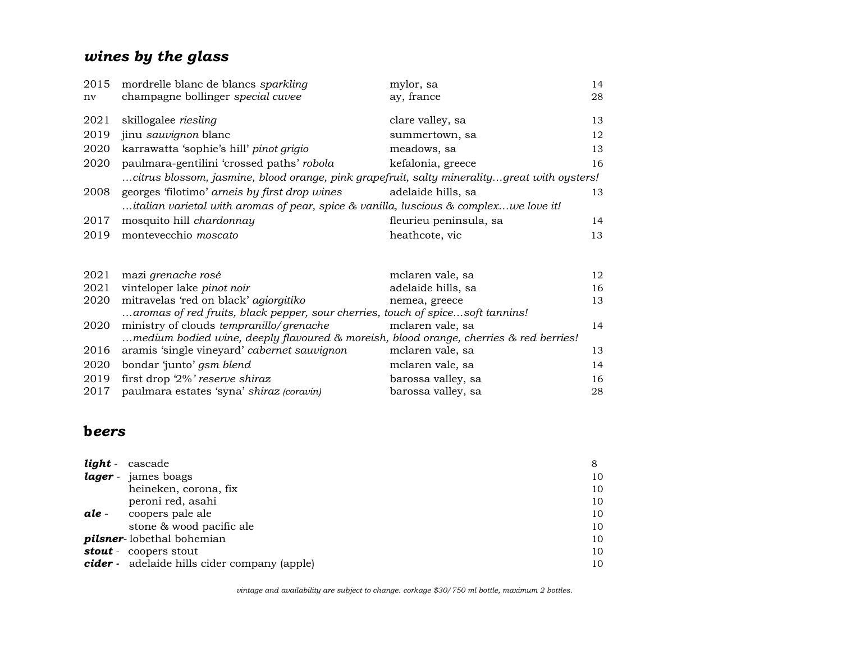# *wines by the glass*

| 2015 | mordrelle blanc de blancs sparkling                                                         | mylor, sa              | 14 |
|------|---------------------------------------------------------------------------------------------|------------------------|----|
| nv   | champagne bollinger special cuvee                                                           | ay, france             | 28 |
| 2021 | skillogalee riesling                                                                        | clare valley, sa       | 13 |
| 2019 | jinu sauvignon blanc                                                                        | summertown, sa         | 12 |
| 2020 | karrawatta 'sophie's hill' pinot grigio                                                     | meadows, sa            | 13 |
| 2020 | paulmara-gentilini 'crossed paths' robola                                                   | kefalonia, greece      | 16 |
|      | citrus blossom, jasmine, blood orange, pink grapefruit, salty mineralitygreat with oysters! |                        |    |
| 2008 | georges 'filotimo' arneis by first drop wines                                               | adelaide hills, sa     | 13 |
|      | italian varietal with aromas of pear, spice $\&$ vanilla, luscious $\&$ complexwe love it!  |                        |    |
| 2017 | mosquito hill chardonnay                                                                    | fleurieu peninsula, sa | 14 |
| 2019 | montevecchio <i>moscato</i>                                                                 | heathcote, vic         | 13 |
|      |                                                                                             |                        |    |
| 2021 | mazi grenache rosé                                                                          | mclaren vale, sa       | 12 |
| 2021 | vinteloper lake pinot noir                                                                  | adelaide hills, sa     | 16 |
| 2020 | mitravelas 'red on black' agiorgitiko                                                       | nemea, greece          | 13 |
|      | aromas of red fruits, black pepper, sour cherries, touch of spicesoft tannins!              |                        |    |
| 2020 | ministry of clouds tempranillo/grenache                                                     | mclaren vale, sa       | 14 |
|      | medium bodied wine, deeply flavoured & moreish, blood orange, cherries & red berries!       |                        |    |
| 2016 | aramis 'single vineyard' cabernet sauvignon                                                 | mclaren vale, sa       | 13 |
| 2020 | bondar 'junto' gsm blend                                                                    | mclaren vale, sa       | 14 |
| 2019 | first drop '2%' reserve shiraz                                                              | barossa valley, sa     | 16 |
| 2017 | paulmara estates 'syna' shiraz (coravin)                                                    | barossa valley, sa     | 28 |

## **b***eers*

| light - | cascade                                             | 8  |
|---------|-----------------------------------------------------|----|
|         | lager - james boags                                 | 10 |
|         | heineken, corona, fix                               | 10 |
|         | peroni red, asahi                                   | 10 |
| ale -   | coopers pale ale                                    | 10 |
|         | stone & wood pacific ale                            | 10 |
|         | <b>pilsner</b> -lobethal bohemian                   | 10 |
|         | <b>stout</b> - coopers stout                        | 10 |
|         | <b>cider</b> - adelaide hills cider company (apple) | 10 |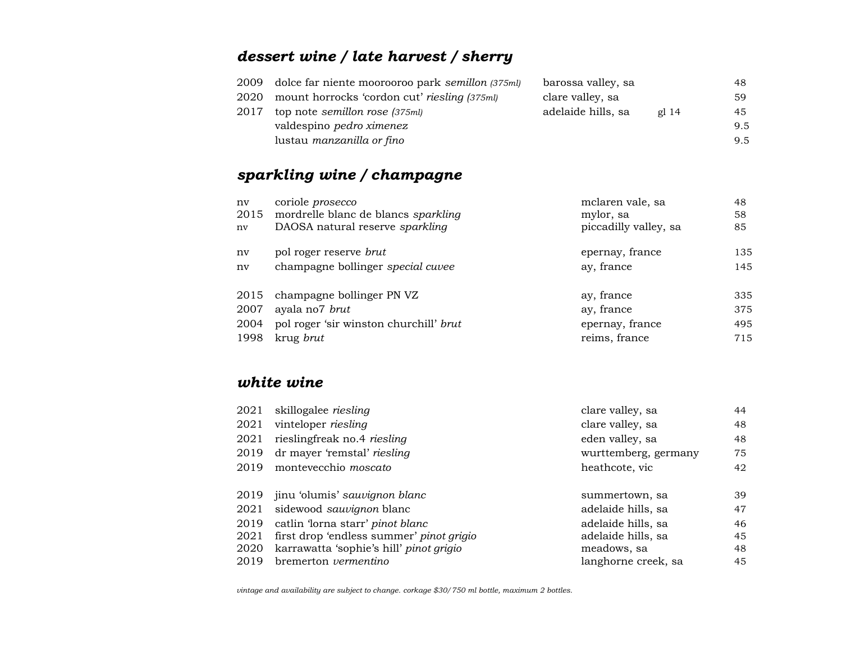# *dessert wine / late harvest / sherry*

| 2009 | dolce far niente moorooroo park semillon (375ml) | barossa valley, sa |       | 48  |
|------|--------------------------------------------------|--------------------|-------|-----|
| 2020 | mount horrocks 'cordon cut' riesling (375ml)     | clare valley, sa   |       | 59  |
| 2017 | top note semillon rose (375ml)                   | adelaide hills, sa | gl 14 | 45  |
|      | valdespino pedro ximenez                         |                    |       | 9.5 |
|      | lustau manzanilla or fino                        |                    |       | 9.5 |
|      |                                                  |                    |       |     |

# *sparkling wine / champagne*

| ny<br>2015<br>nv | coriole prosecco<br>mordrelle blanc de blancs sparkling<br>DAOSA natural reserve sparkling | mclaren vale, sa<br>mylor, sa<br>piccadilly valley, sa | 48<br>58<br>85 |
|------------------|--------------------------------------------------------------------------------------------|--------------------------------------------------------|----------------|
| ny               | pol roger reserve brut                                                                     | epernay, france                                        | 135            |
| nv               | champagne bollinger special cuvee                                                          | ay, france                                             | 145            |
| 2015             | champagne bollinger PN VZ                                                                  | ay, france                                             | 335            |
| 2007             | ayala no7 brut                                                                             | ay, france                                             | 375            |
| 2004             | pol roger 'sir winston churchill' brut                                                     | epernay, france                                        | 495            |
| 1998             | krug brut                                                                                  | reims, france                                          | 715            |

## *white wine*

| 2021 | skillogalee riesling                     | clare valley, sa     | 44 |
|------|------------------------------------------|----------------------|----|
| 2021 | vinteloper riesling                      | clare valley, sa     | 48 |
| 2021 | rieslingfreak no.4 riesling              | eden valley, sa      | 48 |
| 2019 | dr mayer 'remstal' riesling              | wurttemberg, germany | 75 |
| 2019 | montevecchio <i>moscato</i>              | heathcote, vic       | 42 |
|      |                                          |                      |    |
| 2019 | jinu 'olumis' sauvignon blanc            | summertown, sa       | 39 |
| 2021 | sidewood sauvignon blanc                 | adelaide hills, sa   | 47 |
| 2019 | catlin 'lorna starr' pinot blanc         | adelaide hills, sa   | 46 |
| 2021 | first drop 'endless summer' pinot grigio | adelaide hills, sa   | 45 |
| 2020 | karrawatta 'sophie's hill' pinot grigio  | meadows, sa          | 48 |
| 2019 | bremerton <i>vermentino</i>              | langhorne creek, sa  | 45 |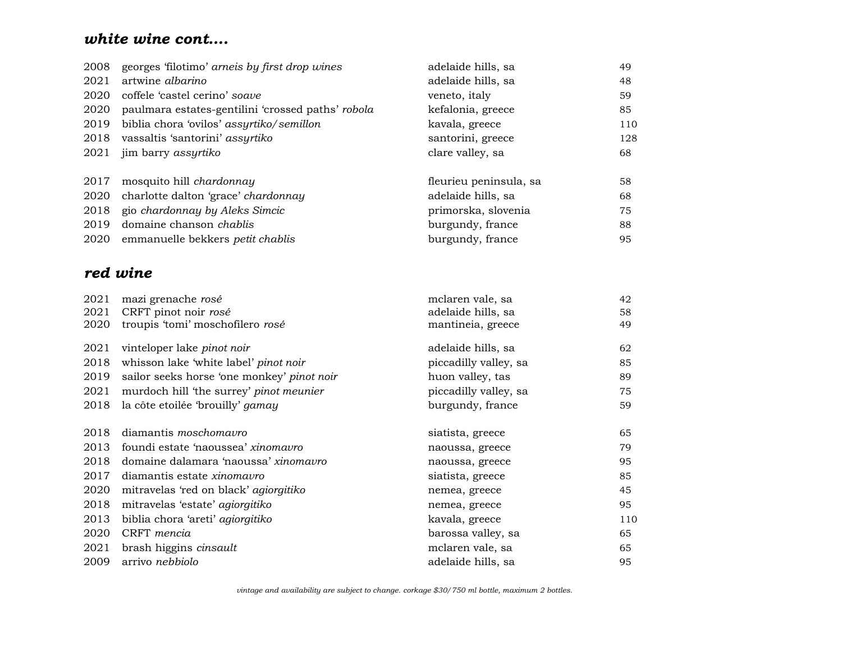## *white wine cont….*

| 2008 | georges 'filotimo' arneis by first drop wines     | adelaide hills, sa     | 49  |
|------|---------------------------------------------------|------------------------|-----|
| 2021 | artwine albarino                                  | adelaide hills, sa     | 48  |
| 2020 | coffele 'castel cerino' soave                     | veneto, italy          | 59  |
| 2020 | paulmara estates-gentilini 'crossed paths' robola | kefalonia, greece      | 85  |
| 2019 | biblia chora 'ovilos' assyrtiko/semillon          | kavala, greece         | 110 |
| 2018 | vassaltis 'santorini' assyrtiko                   | santorini, greece      | 128 |
| 2021 | jim barry assyrtiko                               | clare valley, sa       | 68  |
| 2017 | mosquito hill chardonnay                          | fleurieu peninsula, sa | 58  |
| 2020 | charlotte dalton 'grace' chardonnay               | adelaide hills, sa     | 68  |
| 2018 | gio chardonnay by Aleks Simcic                    | primorska, slovenia    | 75  |
| 2019 | domaine chanson chablis                           | burgundy, france       | 88  |
| 2020 | emmanuelle bekkers petit chablis                  | burgundy, france       | 95  |
|      | red wine                                          |                        |     |
| 2021 | mazi grenache rosé                                | mclaren vale, sa       | 42  |
| 2021 | CRFT pinot noir rosé                              | adelaide hills, sa     | 58  |
| 2020 | troupis 'tomi' moschofilero rosé                  | mantineia, greece      | 49  |
| 2021 | vinteloper lake pinot noir                        | adelaide hills, sa     | 62  |
| 2018 | whisson lake 'white label' pinot noir             | piccadilly valley, sa  | 85  |
| 2019 | sailor seeks horse 'one monkey' pinot noir        | huon valley, tas       | 89  |
| 2021 | murdoch hill 'the surrey' pinot meunier           | piccadilly valley, sa  | 75  |
| 2018 | la côte etoilée 'brouilly' gamay                  | burgundy, france       | 59  |
| 2018 | diamantis moschomavro                             | siatista, greece       | 65  |
| 2013 | foundi estate 'naoussea' xinomavro                | naoussa, greece        | 79  |
| 2018 | domaine dalamara 'naoussa' xinomavro              | naoussa, greece        | 95  |
| 2017 | diamantis estate xinomavro                        | siatista, greece       | 85  |
| 2020 | mitravelas 'red on black' agiorgitiko             | nemea, greece          | 45  |
| 2018 | mitravelas 'estate' agiorgitiko                   | nemea, greece          | 95  |
| 2013 | biblia chora 'areti' agiorgitiko                  | kavala, greece         | 110 |
| 2020 | CRFT mencia                                       | barossa valley, sa     | 65  |
| 2021 | brash higgins cinsault                            | mclaren vale, sa       | 65  |

- 
- arrivo *nebbiolo* adelaide hills, sa 95